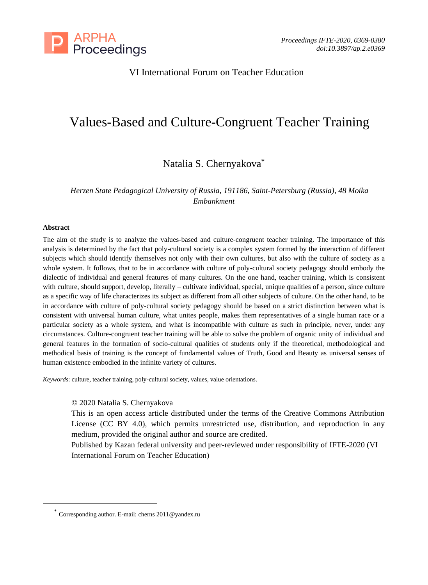

# VI International Forum on Teacher Education

# Values-Based and Culture-Congruent Teacher Training

# Natalia S. Chernyakova\*

*Herzen State Pedagogical University of Russia, 191186, Saint-Petersburg (Russia), 48 Moika Embankment*

#### **Abstract**

The aim of the study is to analyze the values-based and culture-congruent teacher training. The importance of this analysis is determined by the fact that poly-cultural society is a complex system formed by the interaction of different subjects which should identify themselves not only with their own cultures, but also with the culture of society as a whole system. It follows, that to be in accordance with culture of poly-cultural society pedagogy should embody the dialectic of individual and general features of many cultures. On the one hand, teacher training, which is consistent with culture, should support, develop, literally – cultivate individual, special, unique qualities of a person, since culture as a specific way of life characterizes its subject as different from all other subjects of culture. On the other hand, to be in accordance with culture of poly-cultural society pedagogy should be based on a strict distinction between what is consistent with universal human culture, what unites people, makes them representatives of a single human race or a particular society as a whole system, and what is incompatible with culture as such in principle, never, under any circumstances. Culture-congruent teacher training will be able to solve the problem of organic unity of individual and general features in the formation of socio-cultural qualities of students only if the theoretical, methodological and methodical basis of training is the concept of fundamental values of Truth, Good and Beauty as universal senses of human existence embodied in the infinite variety of cultures.

*Keywords*: culture, teacher training, poly-cultural society, values, value orientations.

#### © 2020 Natalia S. Chernyakova

This is an open access article distributed under the terms of the Creative Commons Attribution License (CC BY 4.0), which permits unrestricted use, distribution, and reproduction in any medium, provided the original author and source are credited.

Published by Kazan federal university and peer-reviewed under responsibility of IFTE-2020 (VI International Forum on Teacher Education)

<sup>\*</sup> Corresponding author. E-mail: cherns 2011@yandex.ru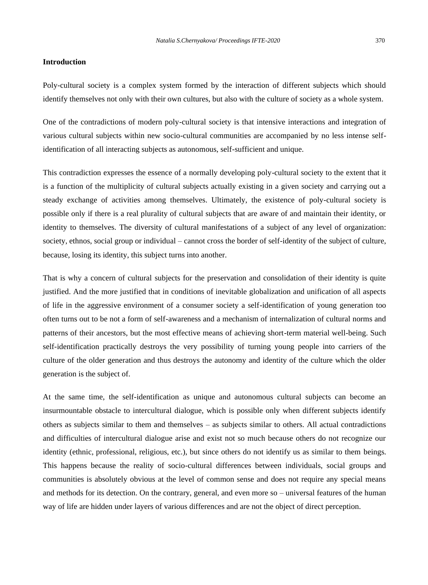#### **Introduction**

Poly-cultural society is a complex system formed by the interaction of different subjects which should identify themselves not only with their own cultures, but also with the culture of society as a whole system.

One of the contradictions of modern poly-cultural society is that intensive interactions and integration of various cultural subjects within new socio-cultural communities are accompanied by no less intense selfidentification of all interacting subjects as autonomous, self-sufficient and unique.

This contradiction expresses the essence of a normally developing poly-cultural society to the extent that it is a function of the multiplicity of cultural subjects actually existing in a given society and carrying out a steady exchange of activities among themselves. Ultimately, the existence of poly-cultural society is possible only if there is a real plurality of cultural subjects that are aware of and maintain their identity, or identity to themselves. The diversity of cultural manifestations of a subject of any level of organization: society, ethnos, social group or individual – cannot cross the border of self-identity of the subject of culture, because, losing its identity, this subject turns into another.

That is why a concern of cultural subjects for the preservation and consolidation of their identity is quite justified. And the more justified that in conditions of inevitable globalization and unification of all aspects of life in the aggressive environment of a consumer society a self-identification of young generation too often turns out to be not a form of self-awareness and a mechanism of internalization of cultural norms and patterns of their ancestors, but the most effective means of achieving short-term material well-being. Such self-identification practically destroys the very possibility of turning young people into carriers of the culture of the older generation and thus destroys the autonomy and identity of the culture which the older generation is the subject of.

At the same time, the self-identification as unique and autonomous cultural subjects can become an insurmountable obstacle to intercultural dialogue, which is possible only when different subjects identify others as subjects similar to them and themselves – as subjects similar to others. All actual contradictions and difficulties of intercultural dialogue arise and exist not so much because others do not recognize our identity (ethnic, professional, religious, etc.), but since others do not identify us as similar to them beings. This happens because the reality of socio-cultural differences between individuals, social groups and communities is absolutely obvious at the level of common sense and does not require any special means and methods for its detection. On the contrary, general, and even more so – universal features of the human way of life are hidden under layers of various differences and are not the object of direct perception.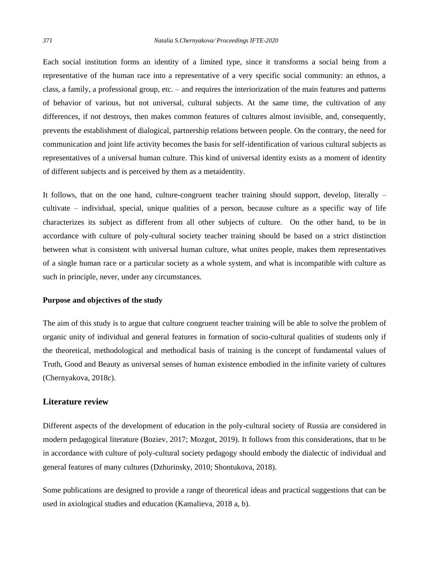Each social institution forms an identity of a limited type, since it transforms a social being from a representative of the human race into a representative of a very specific social community: an ethnos, a class, a family, a professional group, etc. – and requires the interiorization of the main features and patterns of behavior of various, but not universal, cultural subjects. At the same time, the cultivation of any differences, if not destroys, then makes common features of cultures almost invisible, and, consequently, prevents the establishment of dialogical, partnership relations between people. On the contrary, the need for communication and joint life activity becomes the basis for self-identification of various cultural subjects as representatives of a universal human culture. This kind of universal identity exists as a moment of identity of different subjects and is perceived by them as a metaidentity.

It follows, that on the one hand, culture-congruent teacher training should support, develop, literally – cultivate – individual, special, unique qualities of a person, because culture as a specific way of life characterizes its subject as different from all other subjects of culture. On the other hand, to be in accordance with culture of poly-cultural society teacher training should be based on a strict distinction between what is consistent with universal human culture, what unites people, makes them representatives of a single human race or a particular society as a whole system, and what is incompatible with culture as such in principle, never, under any circumstances.

#### **Purpose and objectives of the study**

The aim of this study is to argue that culture congruent teacher training will be able to solve the problem of organic unity of individual and general features in formation of socio-cultural qualities of students only if the theoretical, methodological and methodical basis of training is the concept of fundamental values of Truth, Good and Beauty as universal senses of human existence embodied in the infinite variety of cultures (Chernyakova, 2018c).

## **Literature review**

Different aspects of the development of education in the poly-cultural society of Russia are considered in modern pedagogical literature (Boziev, 2017; Mozgot, 2019). It follows from this considerations, that to be in accordance with culture of poly-cultural society pedagogy should embody the dialectic of individual and general features of many cultures (Dzhurinsky, 2010; Shontukova, 2018).

Some publications are designed to provide a range of theoretical ideas and practical suggestions that can be used in axiological studies and education (Kamalieva, 2018 a, b).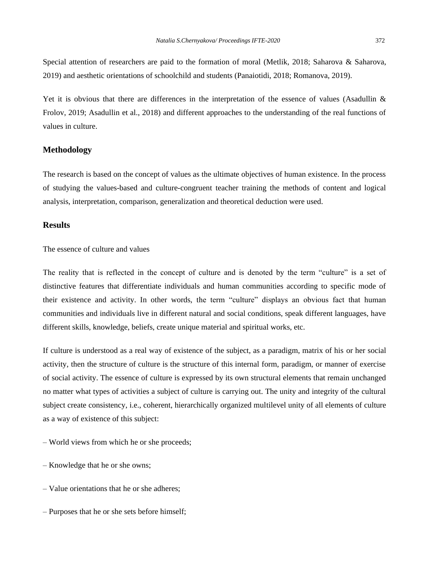Special attention of researchers are paid to the formation of moral (Metlik, 2018; Saharova & Saharova, 2019) and aesthetic orientations of schoolchild and students (Panaiotidi, 2018; Romanova, 2019).

Yet it is obvious that there are differences in the interpretation of the essence of values (Asadullin & Frolov, 2019; Asadullin et al., 2018) and different approaches to the understanding of the real functions of values in culture.

#### **Methodology**

The research is based on the concept of values as the ultimate objectives of human existence. In the process of studying the values-based and culture-congruent teacher training the methods of content and logical analysis, interpretation, comparison, generalization and theoretical deduction were used.

# **Results**

The essence of culture and values

The reality that is reflected in the concept of culture and is denoted by the term "culture" is a set of distinctive features that differentiate individuals and human communities according to specific mode of their existence and activity. In other words, the term "culture" displays an obvious fact that human communities and individuals live in different natural and social conditions, speak different languages, have different skills, knowledge, beliefs, create unique material and spiritual works, etc.

If culture is understood as a real way of existence of the subject, as a paradigm, matrix of his or her social activity, then the structure of culture is the structure of this internal form, paradigm, or manner of exercise of social activity. The essence of culture is expressed by its own structural elements that remain unchanged no matter what types of activities a subject of culture is carrying out. The unity and integrity of the cultural subject create consistency, i.e., coherent, hierarchically organized multilevel unity of all elements of culture as a way of existence of this subject:

- World views from which he or she proceeds;
- Knowledge that he or she owns;
- Value orientations that he or she adheres;
- Purposes that he or she sets before himself;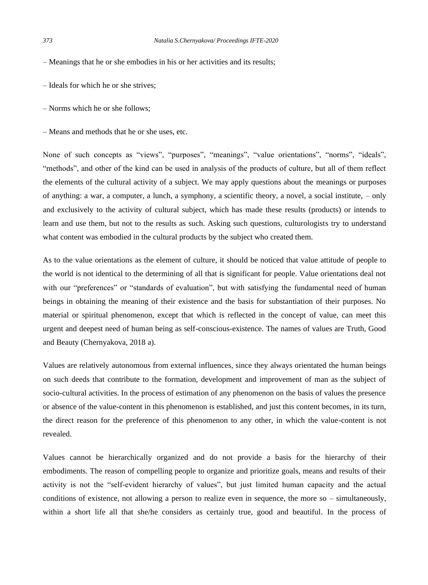- Meanings that he or she embodies in his or her activities and its results;
- Ideals for which he or she strives;
- Norms which he or she follows;
- Means and methods that he or she uses, etc.

None of such concepts as "views", "purposes", "meanings", "value orientations", "norms", "ideals", "methods", and other of the kind can be used in analysis of the products of culture, but all of them reflect the elements of the cultural activity of a subject. We may apply questions about the meanings or purposes of anything: a war, a computer, a lunch, a symphony, a scientific theory, a novel, a social institute, – only and exclusively to the activity of cultural subject, which has made these results (products) or intends to learn and use them, but not to the results as such. Asking such questions, culturologists try to understand what content was embodied in the cultural products by the subject who created them.

As to the value orientations as the element of culture, it should be noticed that value attitude of people to the world is not identical to the determining of all that is significant for people. Value orientations deal not with our "preferences" or "standards of evaluation", but with satisfying the fundamental need of human beings in obtaining the meaning of their existence and the basis for substantiation of their purposes. No material or spiritual phenomenon, except that which is reflected in the concept of value, can meet this urgent and deepest need of human being as self-conscious-existence. The names of values are Truth, Good and Beauty (Chernyakova, 2018 a).

Values are relatively autonomous from external influences, since they always orientated the human beings on such deeds that contribute to the formation, development and improvement of man as the subject of socio-cultural activities. In the process of estimation of any phenomenon on the basis of values the presence or absence of the value-content in this phenomenon is established, and just this content becomes, in its turn, the direct reason for the preference of this phenomenon to any other, in which the value-content is not revealed.

Values cannot be hierarchically organized and do not provide a basis for the hierarchy of their embodiments. The reason of compelling people to organize and prioritize goals, means and results of their activity is not the "self-evident hierarchy of values", but just limited human capacity and the actual conditions of existence, not allowing a person to realize even in sequence, the more so – simultaneously, within a short life all that she/he considers as certainly true, good and beautiful. In the process of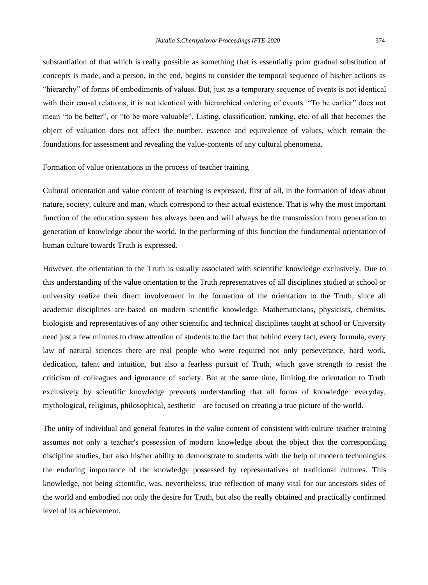substantiation of that which is really possible as something that is essentially prior gradual substitution of concepts is made, and a person, in the end, begins to consider the temporal sequence of his/her actions as "hierarchy" of forms of embodiments of values. But, just as a temporary sequence of events is not identical with their causal relations, it is not identical with hierarchical ordering of events. "To be earlier" does not mean "to be better", or "to be more valuable". Listing, classification, ranking, etc. of all that becomes the object of valuation does not affect the number, essence and equivalence of values, which remain the foundations for assessment and revealing the value-contents of any cultural phenomena.

#### Formation of value orientations in the process of teacher training

Cultural orientation and value content of teaching is expressed, first of all, in the formation of ideas about nature, society, culture and man, which correspond to their actual existence. That is why the most important function of the education system has always been and will always be the transmission from generation to generation of knowledge about the world. In the performing of this function the fundamental orientation of human culture towards Truth is expressed.

However, the orientation to the Truth is usually associated with scientific knowledge exclusively. Due to this understanding of the value orientation to the Truth representatives of all disciplines studied at school or university realize their direct involvement in the formation of the orientation to the Truth, since all academic disciplines are based on modern scientific knowledge. Mathematicians, physicists, chemists, biologists and representatives of any other scientific and technical disciplines taught at school or University need just a few minutes to draw attention of students to the fact that behind every fact, every formula, every law of natural sciences there are real people who were required not only perseverance, hard work, dedication, talent and intuition, but also a fearless pursuit of Truth, which gave strength to resist the criticism of colleagues and ignorance of society. But at the same time, limiting the orientation to Truth exclusively by scientific knowledge prevents understanding that all forms of knowledge: everyday, mythological, religious, philosophical, aesthetic – are focused on creating a true picture of the world.

The unity of individual and general features in the value content of consistent with culture teacher training assumes not only a teacher′s possession of modern knowledge about the object that the corresponding discipline studies, but also his/her ability to demonstrate to students with the help of modern technologies the enduring importance of the knowledge possessed by representatives of traditional cultures. This knowledge, not being scientific, was, nevertheless, true reflection of many vital for our ancestors sides of the world and embodied not only the desire for Truth, but also the really obtained and practically confirmed level of its achievement.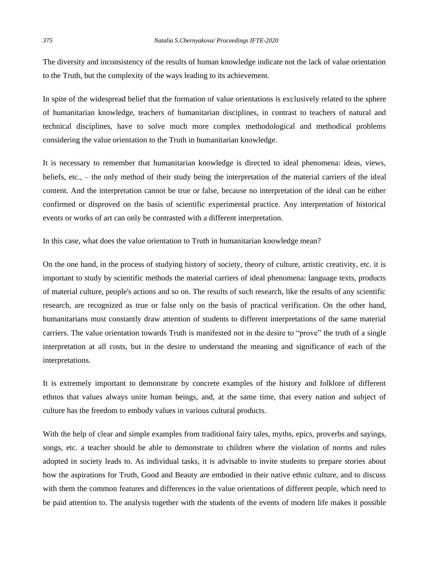The diversity and inconsistency of the results of human knowledge indicate not the lack of value orientation to the Truth, but the complexity of the ways leading to its achievement.

In spite of the widespread belief that the formation of value orientations is exclusively related to the sphere of humanitarian knowledge, teachers of humanitarian disciplines, in contrast to teachers of natural and technical disciplines, have to solve much more complex methodological and methodical problems considering the value orientation to the Truth in humanitarian knowledge.

It is necessary to remember that humanitarian knowledge is directed to ideal phenomena: ideas, views, beliefs, etc., – the only method of their study being the interpretation of the material carriers of the ideal content. And the interpretation cannot be true or false, because no interpretation of the ideal can be either confirmed or disproved on the basis of scientific experimental practice. Any interpretation of historical events or works of art can only be contrasted with a different interpretation.

In this case, what does the value orientation to Truth in humanitarian knowledge mean?

On the one hand, in the process of studying history of society, theory of culture, artistic creativity, etc. it is important to study by scientific methods the material carriers of ideal phenomena: language texts, products of material culture, people's actions and so on. The results of such research, like the results of any scientific research, are recognized as true or false only on the basis of practical verification. On the other hand, humanitarians must constantly draw attention of students to different interpretations of the same material carriers. The value orientation towards Truth is manifested not in the desire to "prove" the truth of a single interpretation at all costs, but in the desire to understand the meaning and significance of each of the interpretations.

It is extremely important to demonstrate by concrete examples of the history and folklore of different ethnos that values always unite human beings, and, at the same time, that every nation and subject of culture has the freedom to embody values in various cultural products.

With the help of clear and simple examples from traditional fairy tales, myths, epics, proverbs and sayings, songs, etc. a teacher should be able to demonstrate to children where the violation of norms and rules adopted in society leads to. As individual tasks, it is advisable to invite students to prepare stories about how the aspirations for Truth, Good and Beauty are embodied in their native ethnic culture, and to discuss with them the common features and differences in the value orientations of different people, which need to be paid attention to. The analysis together with the students of the events of modern life makes it possible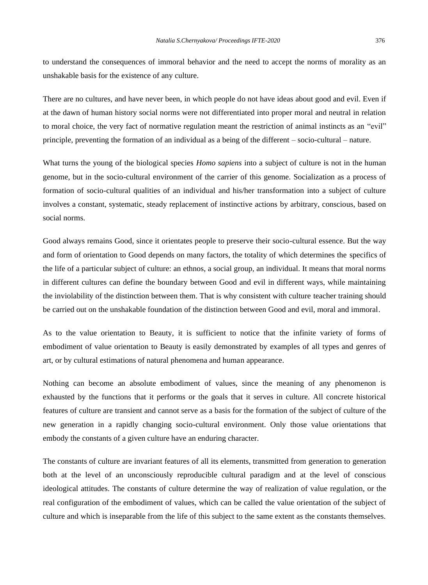to understand the consequences of immoral behavior and the need to accept the norms of morality as an unshakable basis for the existence of any culture.

There are no cultures, and have never been, in which people do not have ideas about good and evil. Even if at the dawn of human history social norms were not differentiated into proper moral and neutral in relation to moral choice, the very fact of normative regulation meant the restriction of animal instincts as an "evil" principle, preventing the formation of an individual as a being of the different – socio-cultural – nature.

What turns the young of the biological species *Homo sapiens* into a subject of culture is not in the human genome, but in the socio-cultural environment of the carrier of this genome. Socialization as a process of formation of socio-cultural qualities of an individual and his/her transformation into a subject of culture involves a constant, systematic, steady replacement of instinctive actions by arbitrary, conscious, based on social norms.

Good always remains Good, since it orientates people to preserve their socio-cultural essence. But the way and form of orientation to Good depends on many factors, the totality of which determines the specifics of the life of a particular subject of culture: an ethnos, a social group, an individual. It means that moral norms in different cultures can define the boundary between Good and evil in different ways, while maintaining the inviolability of the distinction between them. That is why consistent with culture teacher training should be carried out on the unshakable foundation of the distinction between Good and evil, moral and immoral.

As to the value orientation to Beauty, it is sufficient to notice that the infinite variety of forms of embodiment of value orientation to Beauty is easily demonstrated by examples of all types and genres of art, or by cultural estimations of natural phenomena and human appearance.

Nothing can become an absolute embodiment of values, since the meaning of any phenomenon is exhausted by the functions that it performs or the goals that it serves in culture. All concrete historical features of culture are transient and cannot serve as a basis for the formation of the subject of culture of the new generation in a rapidly changing socio-cultural environment. Only those value orientations that embody the constants of a given culture have an enduring character.

The constants of culture are invariant features of all its elements, transmitted from generation to generation both at the level of an unconsciously reproducible cultural paradigm and at the level of conscious ideological attitudes. The constants of culture determine the way of realization of value regulation, or the real configuration of the embodiment of values, which can be called the value orientation of the subject of culture and which is inseparable from the life of this subject to the same extent as the constants themselves.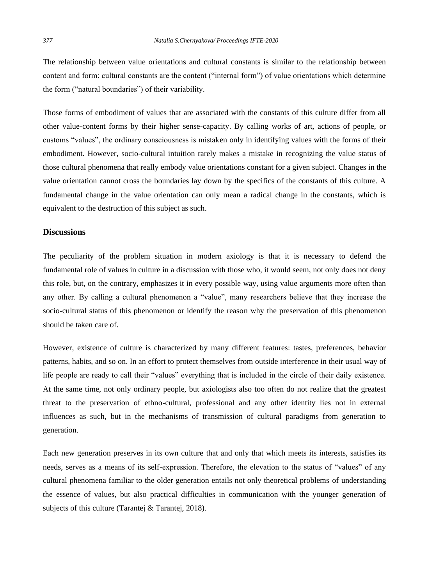The relationship between value orientations and cultural constants is similar to the relationship between content and form: cultural constants are the content ("internal form") of value orientations which determine the form ("natural boundaries") of their variability.

Those forms of embodiment of values that are associated with the constants of this culture differ from all other value-content forms by their higher sense-capacity. By calling works of art, actions of people, or customs "values", the ordinary consciousness is mistaken only in identifying values with the forms of their embodiment. However, socio-cultural intuition rarely makes a mistake in recognizing the value status of those cultural phenomena that really embody value orientations constant for a given subject. Changes in the value orientation cannot cross the boundaries lay down by the specifics of the constants of this culture. A fundamental change in the value orientation can only mean a radical change in the constants, which is equivalent to the destruction of this subject as such.

#### **Discussions**

The peculiarity of the problem situation in modern axiology is that it is necessary to defend the fundamental role of values in culture in a discussion with those who, it would seem, not only does not deny this role, but, on the contrary, emphasizes it in every possible way, using value arguments more often than any other. By calling a cultural phenomenon a "value", many researchers believe that they increase the socio-cultural status of this phenomenon or identify the reason why the preservation of this phenomenon should be taken care of.

However, existence of culture is characterized by many different features: tastes, preferences, behavior patterns, habits, and so on. In an effort to protect themselves from outside interference in their usual way of life people are ready to call their "values" everything that is included in the circle of their daily existence. At the same time, not only ordinary people, but axiologists also too often do not realize that the greatest threat to the preservation of ethno-cultural, professional and any other identity lies not in external influences as such, but in the mechanisms of transmission of cultural paradigms from generation to generation.

Each new generation preserves in its own culture that and only that which meets its interests, satisfies its needs, serves as a means of its self-expression. Therefore, the elevation to the status of "values" of any cultural phenomena familiar to the older generation entails not only theoretical problems of understanding the essence of values, but also practical difficulties in communication with the younger generation of subjects of this culture (Tarantej & Tarantej, 2018).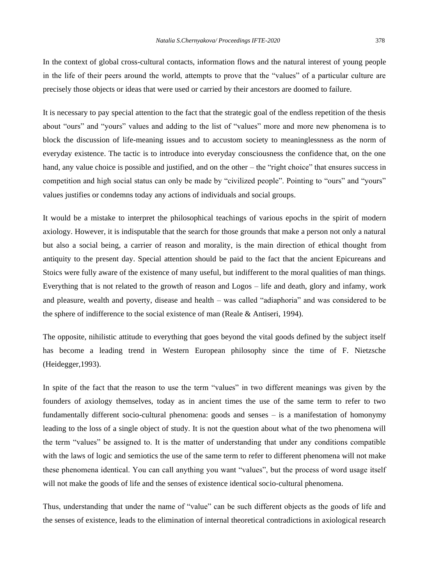In the context of global cross-cultural contacts, information flows and the natural interest of young people in the life of their peers around the world, attempts to prove that the "values" of a particular culture are precisely those objects or ideas that were used or carried by their ancestors are doomed to failure.

It is necessary to pay special attention to the fact that the strategic goal of the endless repetition of the thesis about "ours" and "yours" values and adding to the list of "values" more and more new phenomena is to block the discussion of life-meaning issues and to accustom society to meaninglessness as the norm of everyday existence. The tactic is to introduce into everyday consciousness the confidence that, on the one hand, any value choice is possible and justified, and on the other – the "right choice" that ensures success in competition and high social status can only be made by "civilized people". Pointing to "ours" and "yours" values justifies or condemns today any actions of individuals and social groups.

It would be a mistake to interpret the philosophical teachings of various epochs in the spirit of modern axiology. However, it is indisputable that the search for those grounds that make a person not only a natural but also a social being, a carrier of reason and morality, is the main direction of ethical thought from antiquity to the present day. Special attention should be paid to the fact that the ancient Epicureans and Stoics were fully aware of the existence of many useful, but indifferent to the moral qualities of man things. Everything that is not related to the growth of reason and Logos – life and death, glory and infamy, work and pleasure, wealth and poverty, disease and health – was called "adiaphoria" and was considered to be the sphere of indifference to the social existence of man (Reale & Antiseri, 1994).

The opposite, nihilistic attitude to everything that goes beyond the vital goods defined by the subject itself has become a leading trend in Western European philosophy since the time of F. Nietzsche (Heidegger,1993).

In spite of the fact that the reason to use the term "values" in two different meanings was given by the founders of axiology themselves, today as in ancient times the use of the same term to refer to two fundamentally different socio-cultural phenomena: goods and senses – is a manifestation of homonymy leading to the loss of a single object of study. It is not the question about what of the two phenomena will the term "values" be assigned to. It is the matter of understanding that under any conditions compatible with the laws of logic and semiotics the use of the same term to refer to different phenomena will not make these phenomena identical. You can call anything you want "values", but the process of word usage itself will not make the goods of life and the senses of existence identical socio-cultural phenomena.

Thus, understanding that under the name of "value" can be such different objects as the goods of life and the senses of existence, leads to the elimination of internal theoretical contradictions in axiological research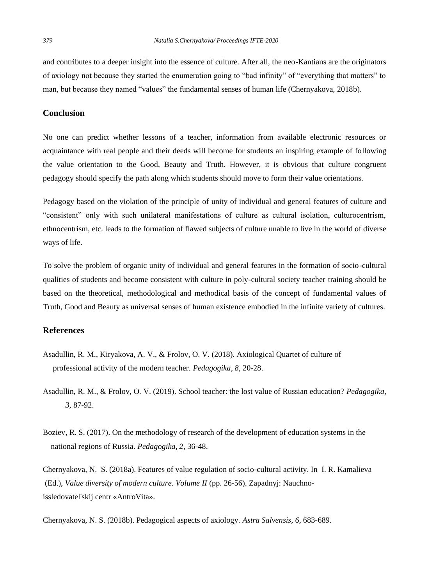and contributes to a deeper insight into the essence of culture. After all, the neo-Kantians are the originators of axiology not because they started the enumeration going to "bad infinity" of "everything that matters" to man, but because they named "values" the fundamental senses of human life (Chernyakova, 2018b).

### **Conclusion**

No one can predict whether lessons of a teacher, information from available electronic resources or acquaintance with real people and their deeds will become for students an inspiring example of following the value orientation to the Good, Beauty and Truth. However, it is obvious that culture congruent pedagogy should specify the path along which students should move to form their value orientations.

Pedagogy based on the violation of the principle of unity of individual and general features of culture and "consistent" only with such unilateral manifestations of culture as cultural isolation, culturocentrism, ethnocentrism, etc. leads to the formation of flawed subjects of culture unable to live in the world of diverse ways of life.

To solve the problem of organic unity of individual and general features in the formation of socio-cultural qualities of students and become consistent with culture in poly-cultural society teacher training should be based on the theoretical, methodological and methodical basis of the concept of fundamental values of Truth, Good and Beauty as universal senses of human existence embodied in the infinite variety of cultures.

## **References**

- Asadullin, R. M., Kiryakova, A. V., & Frolov, O. V. (2018). Axiological Quartet of culture of professional activity of the modern teacher. *Pedagogika, 8,* 20-28.
- Asadullin, R. M., & Frolov, O. V. (2019). School teacher: the lost value of Russian education? *Pedagogika, 3,* 87-92.
- Boziev, R. S. (2017). On the methodology of research of the development of education systems in the national regions of Russia. *Pedagogika, 2,* 36-48.

Chernyakova, N. S. (2018a). Features of value regulation of socio-cultural activity. In I. R. Kamalieva (Ed.), *Value diversity of modern culture. Volume II* (pp. 26-56). Zapadnyj: Nauchnoissledovatel'skij centr «AntroVita».

Chernyakova, N. S. (2018b). Pedagogical aspects of axiology. *Astra Salvensis, 6,* 683-689.